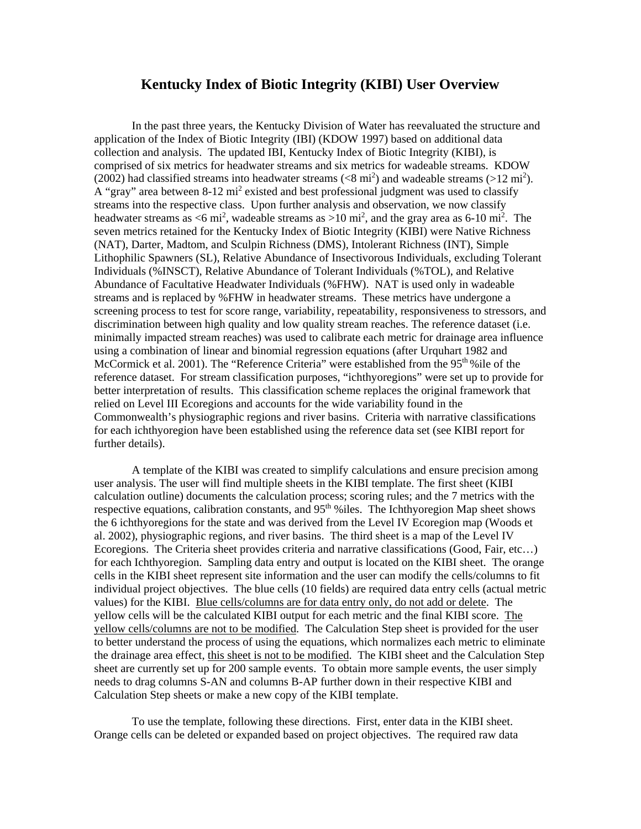## **Kentucky Index of Biotic Integrity (KIBI) User Overview**

In the past three years, the Kentucky Division of Water has reevaluated the structure and application of the Index of Biotic Integrity (IBI) (KDOW 1997) based on additional data collection and analysis. The updated IBI, Kentucky Index of Biotic Integrity (KIBI), is comprised of six metrics for headwater streams and six metrics for wadeable streams. KDOW (2002) had classified streams into headwater streams ( $\langle 8 \text{ mi}^2 \rangle$  and wadeable streams ( $>12 \text{ mi}^2$ ). A "gray" area between  $8-12$  mi<sup>2</sup> existed and best professional judgment was used to classify streams into the respective class. Upon further analysis and observation, we now classify headwater streams as  $\lt 6$  mi<sup>2</sup>, wadeable streams as  $>10$  mi<sup>2</sup>, and the gray area as 6-10 mi<sup>2</sup>. The seven metrics retained for the Kentucky Index of Biotic Integrity (KIBI) were Native Richness (NAT), Darter, Madtom, and Sculpin Richness (DMS), Intolerant Richness (INT), Simple Lithophilic Spawners (SL), Relative Abundance of Insectivorous Individuals, excluding Tolerant Individuals (%INSCT), Relative Abundance of Tolerant Individuals (%TOL), and Relative Abundance of Facultative Headwater Individuals (%FHW). NAT is used only in wadeable streams and is replaced by %FHW in headwater streams. These metrics have undergone a screening process to test for score range, variability, repeatability, responsiveness to stressors, and discrimination between high quality and low quality stream reaches. The reference dataset (i.e. minimally impacted stream reaches) was used to calibrate each metric for drainage area influence using a combination of linear and binomial regression equations (after Urquhart 1982 and McCormick et al. 2001). The "Reference Criteria" were established from the 95<sup>th %</sup>ile of the reference dataset. For stream classification purposes, "ichthyoregions" were set up to provide for better interpretation of results. This classification scheme replaces the original framework that relied on Level III Ecoregions and accounts for the wide variability found in the Commonwealth's physiographic regions and river basins. Criteria with narrative classifications for each ichthyoregion have been established using the reference data set (see KIBI report for further details).

 A template of the KIBI was created to simplify calculations and ensure precision among user analysis. The user will find multiple sheets in the KIBI template. The first sheet (KIBI calculation outline) documents the calculation process; scoring rules; and the 7 metrics with the respective equations, calibration constants, and  $95<sup>th</sup>$  %iles. The Ichthyoregion Map sheet shows the 6 ichthyoregions for the state and was derived from the Level IV Ecoregion map (Woods et al. 2002), physiographic regions, and river basins. The third sheet is a map of the Level IV Ecoregions. The Criteria sheet provides criteria and narrative classifications (Good, Fair, etc…) for each Ichthyoregion. Sampling data entry and output is located on the KIBI sheet. The orange cells in the KIBI sheet represent site information and the user can modify the cells/columns to fit individual project objectives. The blue cells (10 fields) are required data entry cells (actual metric values) for the KIBI. Blue cells/columns are for data entry only, do not add or delete. The yellow cells will be the calculated KIBI output for each metric and the final KIBI score. The yellow cells/columns are not to be modified. The Calculation Step sheet is provided for the user to better understand the process of using the equations, which normalizes each metric to eliminate the drainage area effect, this sheet is not to be modified. The KIBI sheet and the Calculation Step sheet are currently set up for 200 sample events. To obtain more sample events, the user simply needs to drag columns S-AN and columns B-AP further down in their respective KIBI and Calculation Step sheets or make a new copy of the KIBI template.

 To use the template, following these directions. First, enter data in the KIBI sheet. Orange cells can be deleted or expanded based on project objectives. The required raw data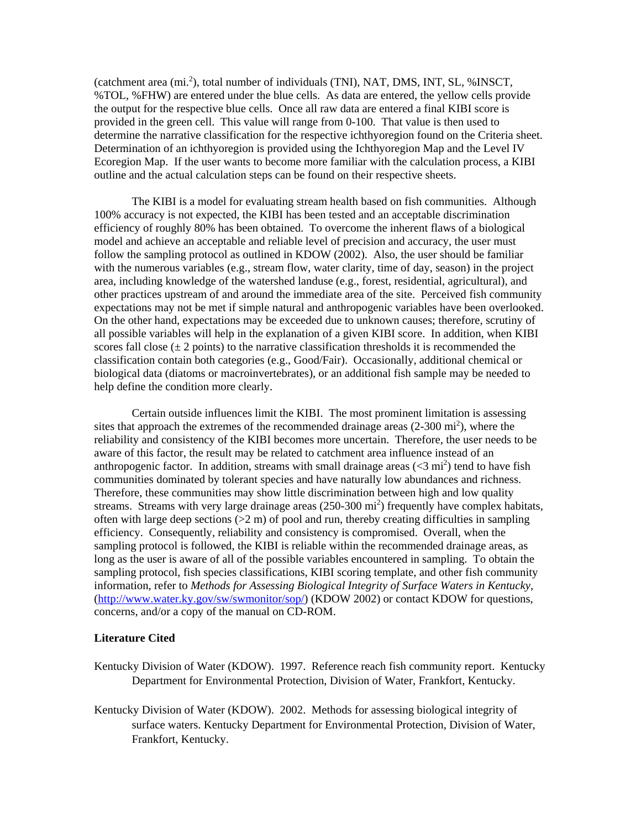(catchment area (mi.<sup>2</sup>), total number of individuals (TNI), NAT, DMS, INT, SL, %INSCT, %TOL, %FHW) are entered under the blue cells. As data are entered, the yellow cells provide the output for the respective blue cells. Once all raw data are entered a final KIBI score is provided in the green cell. This value will range from 0-100. That value is then used to determine the narrative classification for the respective ichthyoregion found on the Criteria sheet. Determination of an ichthyoregion is provided using the Ichthyoregion Map and the Level IV Ecoregion Map. If the user wants to become more familiar with the calculation process, a KIBI outline and the actual calculation steps can be found on their respective sheets.

The KIBI is a model for evaluating stream health based on fish communities. Although 100% accuracy is not expected, the KIBI has been tested and an acceptable discrimination efficiency of roughly 80% has been obtained. To overcome the inherent flaws of a biological model and achieve an acceptable and reliable level of precision and accuracy, the user must follow the sampling protocol as outlined in KDOW (2002). Also, the user should be familiar with the numerous variables (e.g., stream flow, water clarity, time of day, season) in the project area, including knowledge of the watershed landuse (e.g., forest, residential, agricultural), and other practices upstream of and around the immediate area of the site. Perceived fish community expectations may not be met if simple natural and anthropogenic variables have been overlooked. On the other hand, expectations may be exceeded due to unknown causes; therefore, scrutiny of all possible variables will help in the explanation of a given KIBI score. In addition, when KIBI scores fall close  $(\pm 2 \text{ points})$  to the narrative classification thresholds it is recommended the classification contain both categories (e.g., Good/Fair). Occasionally, additional chemical or biological data (diatoms or macroinvertebrates), or an additional fish sample may be needed to help define the condition more clearly.

Certain outside influences limit the KIBI. The most prominent limitation is assessing sites that approach the extremes of the recommended drainage areas  $(2\n-300 \text{ mi}^2)$ , where the reliability and consistency of the KIBI becomes more uncertain. Therefore, the user needs to be aware of this factor, the result may be related to catchment area influence instead of an anthropogenic factor. In addition, streams with small drainage areas  $( $3 \text{ mi}^2$ ) tend to have fish$ communities dominated by tolerant species and have naturally low abundances and richness. Therefore, these communities may show little discrimination between high and low quality streams. Streams with very large drainage areas (250-300 mi<sup>2</sup>) frequently have complex habitats, often with large deep sections  $(2 \text{ m})$  of pool and run, thereby creating difficulties in sampling efficiency. Consequently, reliability and consistency is compromised. Overall, when the sampling protocol is followed, the KIBI is reliable within the recommended drainage areas, as long as the user is aware of all of the possible variables encountered in sampling. To obtain the sampling protocol, fish species classifications, KIBI scoring template, and other fish community information, refer to *Methods for Assessing Biological Integrity of Surface Waters in Kentucky*, (http://www.water.ky.gov/sw/swmonitor/sop/) (KDOW 2002) or contact KDOW for questions, concerns, and/or a copy of the manual on CD-ROM.

## **Literature Cited**

- Kentucky Division of Water (KDOW). 1997. Reference reach fish community report. Kentucky Department for Environmental Protection, Division of Water, Frankfort, Kentucky.
- Kentucky Division of Water (KDOW). 2002. Methods for assessing biological integrity of surface waters. Kentucky Department for Environmental Protection, Division of Water, Frankfort, Kentucky.